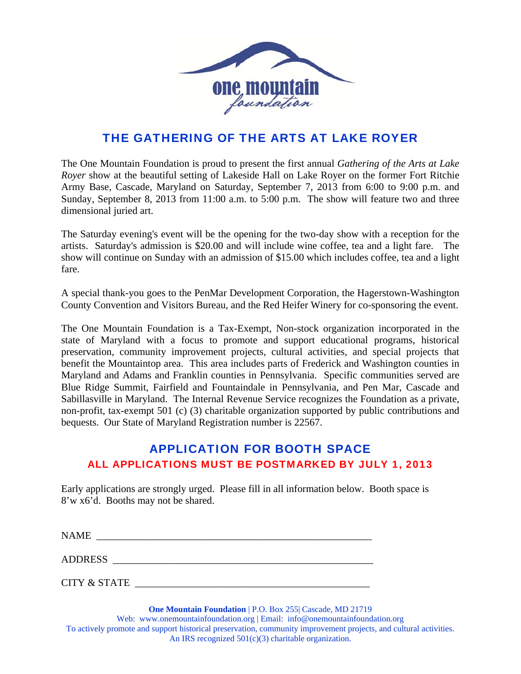

## THE GATHERING OF THE ARTS AT LAKE ROYER

The One Mountain Foundation is proud to present the first annual *Gathering of the Arts at Lake Royer* show at the beautiful setting of Lakeside Hall on Lake Royer on the former Fort Ritchie Army Base, Cascade, Maryland on Saturday, September 7, 2013 from 6:00 to 9:00 p.m. and Sunday, September 8, 2013 from 11:00 a.m. to 5:00 p.m. The show will feature two and three dimensional juried art.

The Saturday evening's event will be the opening for the two-day show with a reception for the artists. Saturday's admission is \$20.00 and will include wine coffee, tea and a light fare. The show will continue on Sunday with an admission of \$15.00 which includes coffee, tea and a light fare.

A special thank-you goes to the PenMar Development Corporation, the Hagerstown-Washington County Convention and Visitors Bureau, and the Red Heifer Winery for co-sponsoring the event.

The One Mountain Foundation is a Tax-Exempt, Non-stock organization incorporated in the state of Maryland with a focus to promote and support educational programs, historical preservation, community improvement projects, cultural activities, and special projects that benefit the Mountaintop area. This area includes parts of Frederick and Washington counties in Maryland and Adams and Franklin counties in Pennsylvania. Specific communities served are Blue Ridge Summit, Fairfield and Fountaindale in Pennsylvania, and Pen Mar, Cascade and Sabillasville in Maryland. The Internal Revenue Service recognizes the Foundation as a private, non-profit, tax-exempt 501 (c) (3) charitable organization supported by public contributions and bequests. Our State of Maryland Registration number is 22567.

## APPLICATION FOR BOOTH SPACE ALL APPLICATIONS MUST BE POSTMARKED BY JULY 1, 2013

Early applications are strongly urged. Please fill in all information below. Booth space is 8'w x6'd. Booths may not be shared.

| <b>NAME</b>    |  |  |  |
|----------------|--|--|--|
| <b>ADDRESS</b> |  |  |  |

CITY & STATE \_\_\_\_\_\_\_\_\_\_\_\_\_\_\_\_\_\_\_\_\_\_\_\_\_\_\_\_\_\_\_\_\_\_\_\_\_\_\_\_\_\_\_\_\_\_

**One Mountain Foundation** | P.O. Box 255| Cascade, MD 21719 Web: www.onemountainfoundation.org | Email: info@onemountainfoundation.org To actively promote and support historical preservation, community improvement projects, and cultural activities. An IRS recognized  $501(c)(3)$  charitable organization.